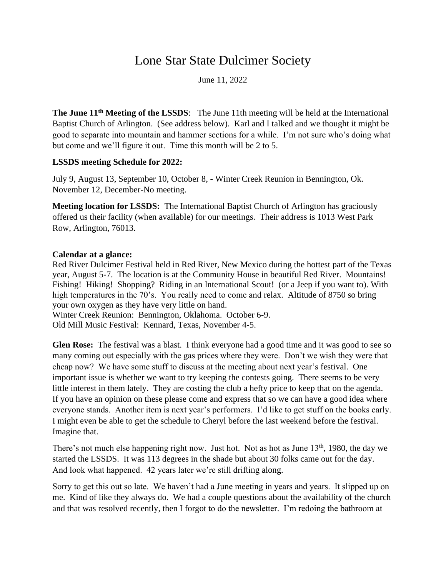## Lone Star State Dulcimer Society

June 11, 2022

**The June 11th Meeting of the LSSDS**: The June 11th meeting will be held at the International Baptist Church of Arlington. (See address below). Karl and I talked and we thought it might be good to separate into mountain and hammer sections for a while. I'm not sure who's doing what but come and we'll figure it out. Time this month will be 2 to 5.

## **LSSDS meeting Schedule for 2022:**

July 9, August 13, September 10, October 8, - Winter Creek Reunion in Bennington, Ok. November 12, December-No meeting.

**Meeting location for LSSDS:** The International Baptist Church of Arlington has graciously offered us their facility (when available) for our meetings. Their address is 1013 West Park Row, Arlington, 76013.

## **Calendar at a glance:**

Red River Dulcimer Festival held in Red River, New Mexico during the hottest part of the Texas year, August 5-7. The location is at the Community House in beautiful Red River. Mountains! Fishing! Hiking! Shopping? Riding in an International Scout! (or a Jeep if you want to). With high temperatures in the 70's. You really need to come and relax. Altitude of 8750 so bring your own oxygen as they have very little on hand.

Winter Creek Reunion: Bennington, Oklahoma. October 6-9. Old Mill Music Festival: Kennard, Texas, November 4-5.

**Glen Rose:** The festival was a blast. I think everyone had a good time and it was good to see so many coming out especially with the gas prices where they were. Don't we wish they were that cheap now? We have some stuff to discuss at the meeting about next year's festival. One important issue is whether we want to try keeping the contests going. There seems to be very little interest in them lately. They are costing the club a hefty price to keep that on the agenda. If you have an opinion on these please come and express that so we can have a good idea where everyone stands. Another item is next year's performers. I'd like to get stuff on the books early. I might even be able to get the schedule to Cheryl before the last weekend before the festival. Imagine that.

There's not much else happening right now. Just hot. Not as hot as June  $13<sup>th</sup>$ , 1980, the day we started the LSSDS. It was 113 degrees in the shade but about 30 folks came out for the day. And look what happened. 42 years later we're still drifting along.

Sorry to get this out so late. We haven't had a June meeting in years and years. It slipped up on me. Kind of like they always do. We had a couple questions about the availability of the church and that was resolved recently, then I forgot to do the newsletter. I'm redoing the bathroom at